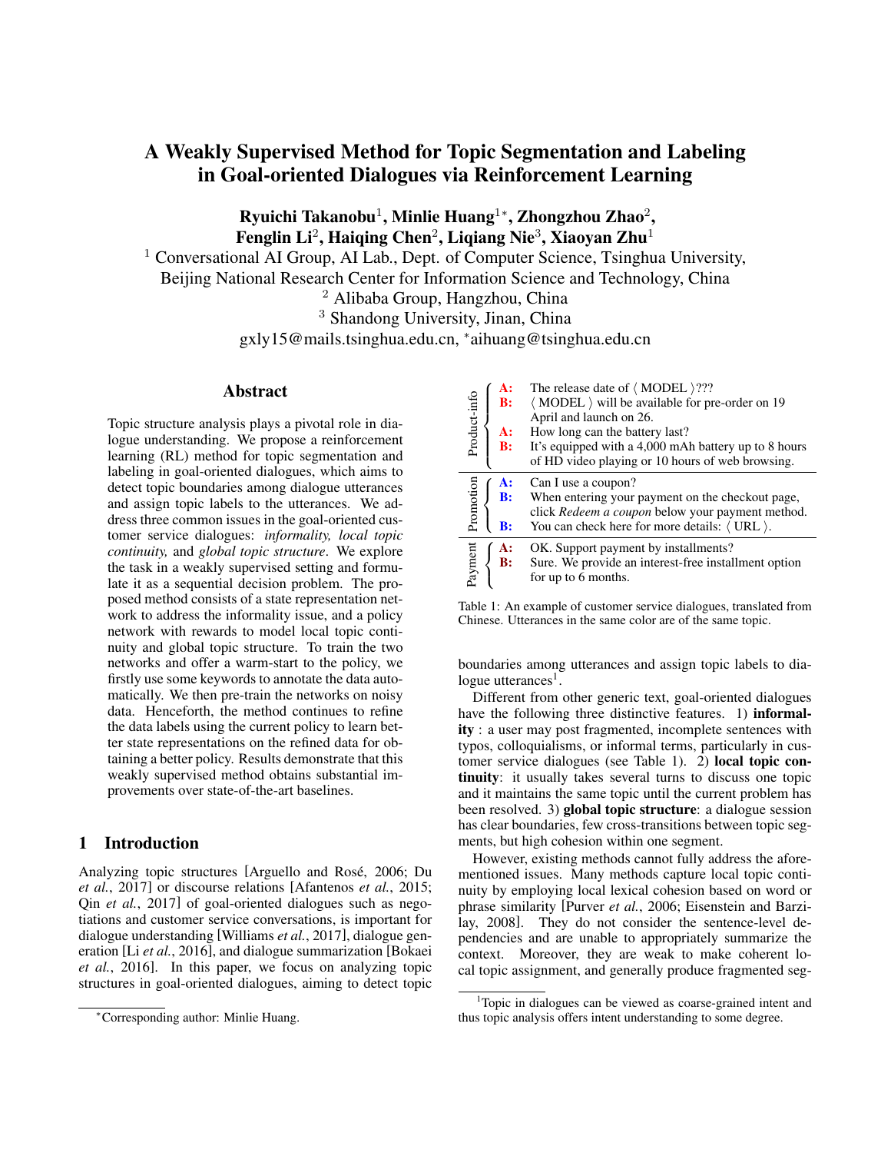# A Weakly Supervised Method for Topic Segmentation and Labeling in Goal-oriented Dialogues via Reinforcement Learning

Ryuichi Takanobu<sup>1</sup>, Minlie Huang<sup>1</sup>\*, Zhongzhou Zhao<sup>2</sup>, Fenglin Li<sup>2</sup>, Haiqing Chen<sup>2</sup>, Liqiang Nie<sup>3</sup>, Xiaoyan Zhu<sup>1</sup>

<sup>1</sup> Conversational AI Group, AI Lab., Dept. of Computer Science, Tsinghua University, Beijing National Research Center for Information Science and Technology, China

<sup>2</sup> Alibaba Group, Hangzhou, China

<sup>3</sup> Shandong University, Jinan, China

gxly15@mails.tsinghua.edu.cn, <sup>∗</sup> aihuang@tsinghua.edu.cn

# Abstract

Topic structure analysis plays a pivotal role in dialogue understanding. We propose a reinforcement learning (RL) method for topic segmentation and labeling in goal-oriented dialogues, which aims to detect topic boundaries among dialogue utterances and assign topic labels to the utterances. We address three common issues in the goal-oriented customer service dialogues: *informality, local topic continuity,* and *global topic structure*. We explore the task in a weakly supervised setting and formulate it as a sequential decision problem. The proposed method consists of a state representation network to address the informality issue, and a policy network with rewards to model local topic continuity and global topic structure. To train the two networks and offer a warm-start to the policy, we firstly use some keywords to annotate the data automatically. We then pre-train the networks on noisy data. Henceforth, the method continues to refine the data labels using the current policy to learn better state representations on the refined data for obtaining a better policy. Results demonstrate that this weakly supervised method obtains substantial improvements over state-of-the-art baselines.

# 1 Introduction

Analyzing topic structures [Arguello and Rosé, 2006; Du *et al.*, 2017] or discourse relations [Afantenos *et al.*, 2015; Qin *et al.*, 2017] of goal-oriented dialogues such as negotiations and customer service conversations, is important for dialogue understanding [Williams *et al.*, 2017], dialogue generation [Li *et al.*, 2016], and dialogue summarization [Bokaei *et al.*, 2016]. In this paper, we focus on analyzing topic structures in goal-oriented dialogues, aiming to detect topic

| Product-info | A:<br>B:<br><b>A:</b><br>B: | The release date of $\langle$ MODEL $\rangle$ ???<br>(MODEL) will be available for pre-order on 19<br>April and launch on 26.<br>How long can the battery last?<br>It's equipped with a 4,000 mAh battery up to 8 hours<br>of HD video playing or 10 hours of web browsing. |
|--------------|-----------------------------|-----------------------------------------------------------------------------------------------------------------------------------------------------------------------------------------------------------------------------------------------------------------------------|
| Promotion    | <b>A:</b><br>B:             | Can I use a coupon?<br>When entering your payment on the checkout page,<br>click Redeem a coupon below your payment method.                                                                                                                                                 |
|              | $\bf{B}$ :                  | You can check here for more details: $\langle$ URL $\rangle$ .                                                                                                                                                                                                              |
| Payment      | A:<br>B:                    | OK. Support payment by installments?<br>Sure. We provide an interest-free installment option<br>for up to 6 months.                                                                                                                                                         |

Table 1: An example of customer service dialogues, translated from Chinese. Utterances in the same color are of the same topic.

boundaries among utterances and assign topic labels to dialogue utterances<sup>1</sup>.

Different from other generic text, goal-oriented dialogues have the following three distinctive features. 1) **informal**ity : a user may post fragmented, incomplete sentences with typos, colloquialisms, or informal terms, particularly in customer service dialogues (see Table 1). 2) local topic continuity: it usually takes several turns to discuss one topic and it maintains the same topic until the current problem has been resolved. 3) global topic structure: a dialogue session has clear boundaries, few cross-transitions between topic segments, but high cohesion within one segment.

However, existing methods cannot fully address the aforementioned issues. Many methods capture local topic continuity by employing local lexical cohesion based on word or phrase similarity [Purver *et al.*, 2006; Eisenstein and Barzilay, 2008]. They do not consider the sentence-level dependencies and are unable to appropriately summarize the context. Moreover, they are weak to make coherent local topic assignment, and generally produce fragmented seg-

<sup>∗</sup>Corresponding author: Minlie Huang.

<sup>&</sup>lt;sup>1</sup>Topic in dialogues can be viewed as coarse-grained intent and thus topic analysis offers intent understanding to some degree.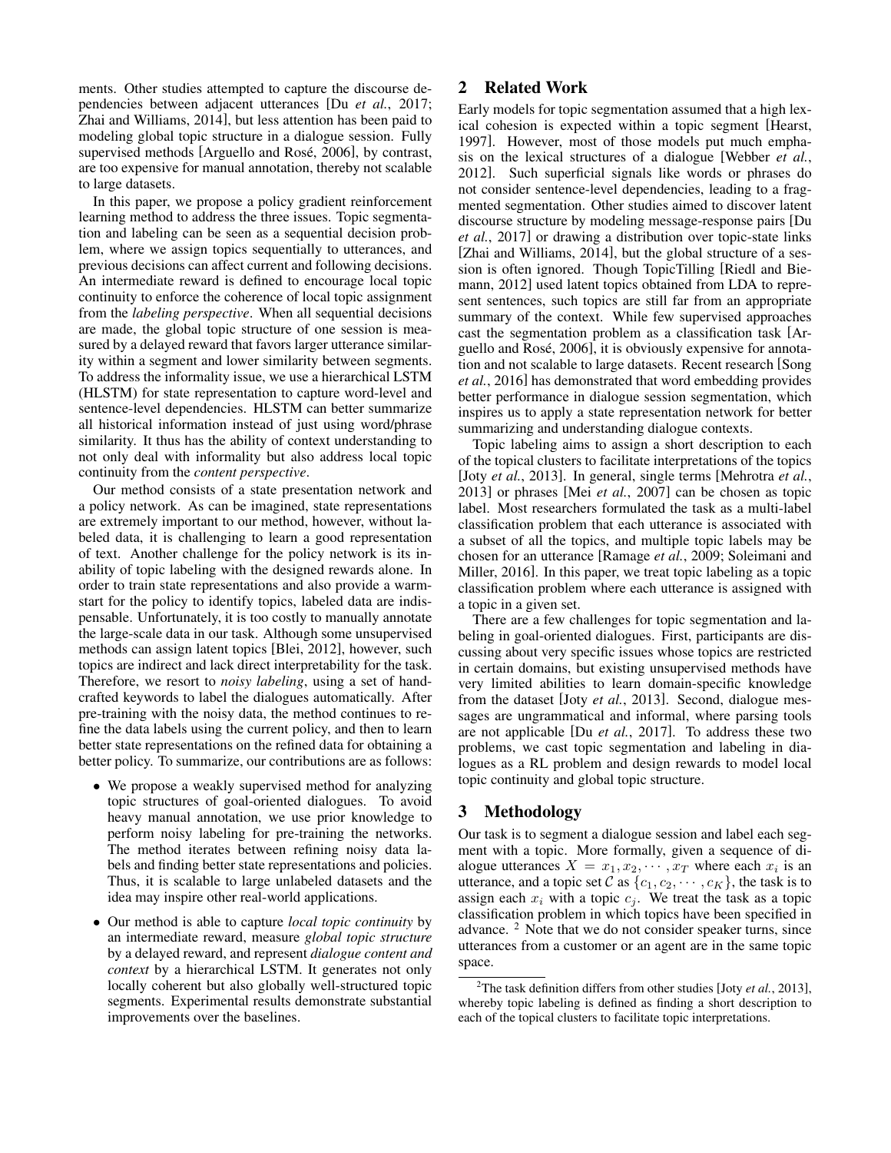ments. Other studies attempted to capture the discourse dependencies between adjacent utterances [Du *et al.*, 2017; Zhai and Williams, 2014], but less attention has been paid to modeling global topic structure in a dialogue session. Fully supervised methods [Arguello and Rosé, 2006], by contrast, are too expensive for manual annotation, thereby not scalable to large datasets.

In this paper, we propose a policy gradient reinforcement learning method to address the three issues. Topic segmentation and labeling can be seen as a sequential decision problem, where we assign topics sequentially to utterances, and previous decisions can affect current and following decisions. An intermediate reward is defined to encourage local topic continuity to enforce the coherence of local topic assignment from the *labeling perspective*. When all sequential decisions are made, the global topic structure of one session is measured by a delayed reward that favors larger utterance similarity within a segment and lower similarity between segments. To address the informality issue, we use a hierarchical LSTM (HLSTM) for state representation to capture word-level and sentence-level dependencies. HLSTM can better summarize all historical information instead of just using word/phrase similarity. It thus has the ability of context understanding to not only deal with informality but also address local topic continuity from the *content perspective*.

Our method consists of a state presentation network and a policy network. As can be imagined, state representations are extremely important to our method, however, without labeled data, it is challenging to learn a good representation of text. Another challenge for the policy network is its inability of topic labeling with the designed rewards alone. In order to train state representations and also provide a warmstart for the policy to identify topics, labeled data are indispensable. Unfortunately, it is too costly to manually annotate the large-scale data in our task. Although some unsupervised methods can assign latent topics [Blei, 2012], however, such topics are indirect and lack direct interpretability for the task. Therefore, we resort to *noisy labeling*, using a set of handcrafted keywords to label the dialogues automatically. After pre-training with the noisy data, the method continues to refine the data labels using the current policy, and then to learn better state representations on the refined data for obtaining a better policy. To summarize, our contributions are as follows:

- We propose a weakly supervised method for analyzing topic structures of goal-oriented dialogues. To avoid heavy manual annotation, we use prior knowledge to perform noisy labeling for pre-training the networks. The method iterates between refining noisy data labels and finding better state representations and policies. Thus, it is scalable to large unlabeled datasets and the idea may inspire other real-world applications.
- Our method is able to capture *local topic continuity* by an intermediate reward, measure *global topic structure* by a delayed reward, and represent *dialogue content and context* by a hierarchical LSTM. It generates not only locally coherent but also globally well-structured topic segments. Experimental results demonstrate substantial improvements over the baselines.

# 2 Related Work

Early models for topic segmentation assumed that a high lexical cohesion is expected within a topic segment [Hearst, 1997]. However, most of those models put much emphasis on the lexical structures of a dialogue [Webber *et al.*, 2012]. Such superficial signals like words or phrases do not consider sentence-level dependencies, leading to a fragmented segmentation. Other studies aimed to discover latent discourse structure by modeling message-response pairs [Du *et al.*, 2017] or drawing a distribution over topic-state links [Zhai and Williams, 2014], but the global structure of a session is often ignored. Though TopicTilling [Riedl and Biemann, 2012] used latent topics obtained from LDA to represent sentences, such topics are still far from an appropriate summary of the context. While few supervised approaches cast the segmentation problem as a classification task [Arguello and Rosé, 2006, it is obviously expensive for annotation and not scalable to large datasets. Recent research [Song *et al.*, 2016] has demonstrated that word embedding provides better performance in dialogue session segmentation, which inspires us to apply a state representation network for better summarizing and understanding dialogue contexts.

Topic labeling aims to assign a short description to each of the topical clusters to facilitate interpretations of the topics [Joty *et al.*, 2013]. In general, single terms [Mehrotra *et al.*, 2013] or phrases [Mei *et al.*, 2007] can be chosen as topic label. Most researchers formulated the task as a multi-label classification problem that each utterance is associated with a subset of all the topics, and multiple topic labels may be chosen for an utterance [Ramage *et al.*, 2009; Soleimani and Miller, 2016]. In this paper, we treat topic labeling as a topic classification problem where each utterance is assigned with a topic in a given set.

There are a few challenges for topic segmentation and labeling in goal-oriented dialogues. First, participants are discussing about very specific issues whose topics are restricted in certain domains, but existing unsupervised methods have very limited abilities to learn domain-specific knowledge from the dataset [Joty *et al.*, 2013]. Second, dialogue messages are ungrammatical and informal, where parsing tools are not applicable [Du *et al.*, 2017]. To address these two problems, we cast topic segmentation and labeling in dialogues as a RL problem and design rewards to model local topic continuity and global topic structure.

# 3 Methodology

Our task is to segment a dialogue session and label each segment with a topic. More formally, given a sequence of dialogue utterances  $X = x_1, x_2, \cdots, x_T$  where each  $x_i$  is an utterance, and a topic set C as  $\{c_1, c_2, \cdots, c_K\}$ , the task is to assign each  $x_i$  with a topic  $c_j$ . We treat the task as a topic classification problem in which topics have been specified in advance. <sup>2</sup> Note that we do not consider speaker turns, since utterances from a customer or an agent are in the same topic space.

<sup>2</sup>The task definition differs from other studies [Joty *et al.*, 2013], whereby topic labeling is defined as finding a short description to each of the topical clusters to facilitate topic interpretations.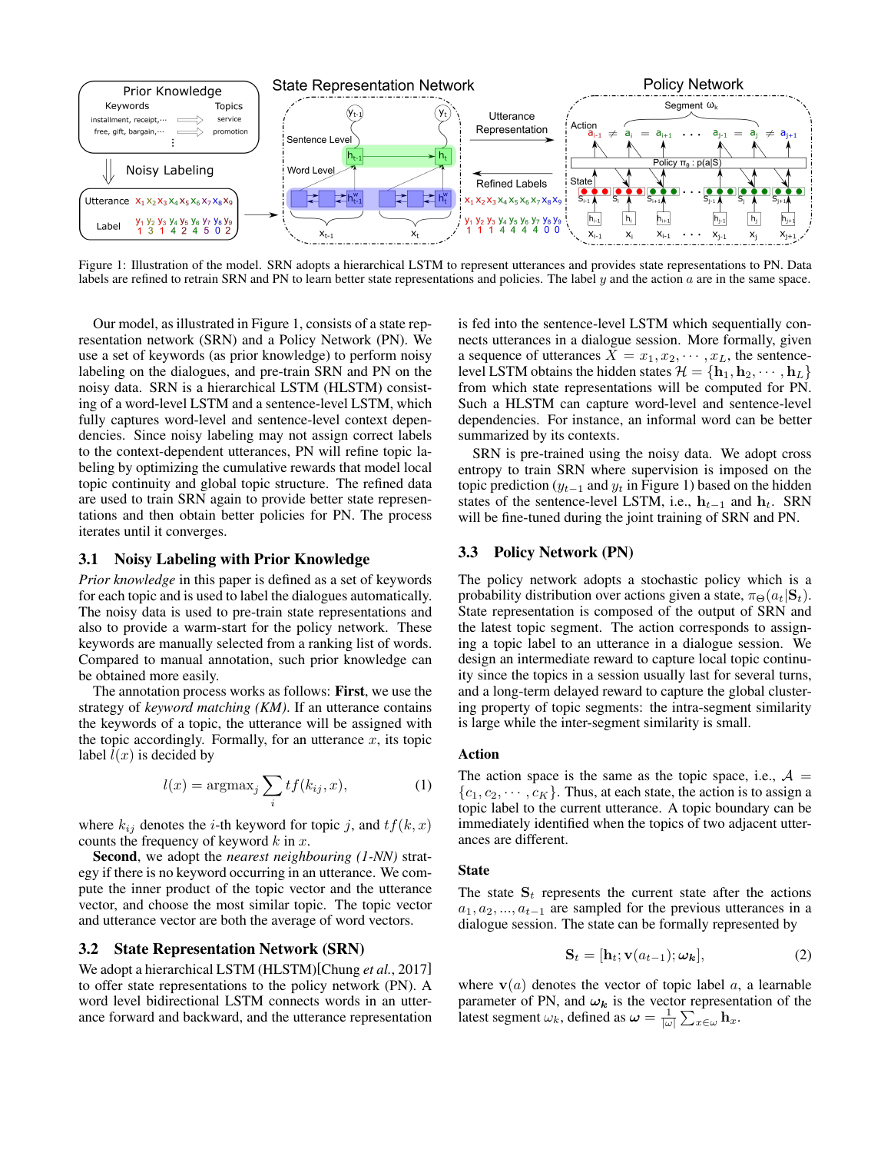

Figure 1: Illustration of the model. SRN adopts a hierarchical LSTM to represent utterances and provides state representations to PN. Data labels are refined to retrain SRN and PN to learn better state representations and policies. The label  $y$  and the action  $a$  are in the same space.

Our model, as illustrated in Figure 1, consists of a state representation network (SRN) and a Policy Network (PN). We use a set of keywords (as prior knowledge) to perform noisy labeling on the dialogues, and pre-train SRN and PN on the noisy data. SRN is a hierarchical LSTM (HLSTM) consisting of a word-level LSTM and a sentence-level LSTM, which fully captures word-level and sentence-level context dependencies. Since noisy labeling may not assign correct labels to the context-dependent utterances, PN will refine topic labeling by optimizing the cumulative rewards that model local topic continuity and global topic structure. The refined data are used to train SRN again to provide better state representations and then obtain better policies for PN. The process iterates until it converges.

### 3.1 Noisy Labeling with Prior Knowledge

*Prior knowledge* in this paper is defined as a set of keywords for each topic and is used to label the dialogues automatically. The noisy data is used to pre-train state representations and also to provide a warm-start for the policy network. These keywords are manually selected from a ranking list of words. Compared to manual annotation, such prior knowledge can be obtained more easily.

The annotation process works as follows: First, we use the strategy of *keyword matching (KM)*. If an utterance contains the keywords of a topic, the utterance will be assigned with the topic accordingly. Formally, for an utterance  $x$ , its topic label  $l(x)$  is decided by

$$
l(x) = \operatorname{argmax}_{j} \sum_{i} t f(k_{ij}, x), \tag{1}
$$

where  $k_{ij}$  denotes the *i*-th keyword for topic *j*, and  $tf(k, x)$ counts the frequency of keyword  $k$  in  $x$ .

Second, we adopt the *nearest neighbouring (1-NN)* strategy if there is no keyword occurring in an utterance. We compute the inner product of the topic vector and the utterance vector, and choose the most similar topic. The topic vector and utterance vector are both the average of word vectors.

#### 3.2 State Representation Network (SRN)

We adopt a hierarchical LSTM (HLSTM)[Chung *et al.*, 2017] to offer state representations to the policy network (PN). A word level bidirectional LSTM connects words in an utterance forward and backward, and the utterance representation is fed into the sentence-level LSTM which sequentially connects utterances in a dialogue session. More formally, given a sequence of utterances  $X = x_1, x_2, \cdots, x_L$ , the sentencelevel LSTM obtains the hidden states  $\mathcal{H} = {\mathbf{h}_1, \mathbf{h}_2, \cdots, \mathbf{h}_L}$ from which state representations will be computed for PN. Such a HLSTM can capture word-level and sentence-level dependencies. For instance, an informal word can be better summarized by its contexts.

SRN is pre-trained using the noisy data. We adopt cross entropy to train SRN where supervision is imposed on the topic prediction ( $y_{t-1}$  and  $y_t$  in Figure 1) based on the hidden states of the sentence-level LSTM, i.e.,  $h_{t-1}$  and  $h_t$ . SRN will be fine-tuned during the joint training of SRN and PN.

### 3.3 Policy Network (PN)

The policy network adopts a stochastic policy which is a probability distribution over actions given a state,  $\pi_{\Theta}(a_t|\mathbf{S}_t)$ . State representation is composed of the output of SRN and the latest topic segment. The action corresponds to assigning a topic label to an utterance in a dialogue session. We design an intermediate reward to capture local topic continuity since the topics in a session usually last for several turns, and a long-term delayed reward to capture the global clustering property of topic segments: the intra-segment similarity is large while the inter-segment similarity is small.

### Action

The action space is the same as the topic space, i.e.,  $A =$  $\{c_1, c_2, \cdots, c_K\}$ . Thus, at each state, the action is to assign a topic label to the current utterance. A topic boundary can be immediately identified when the topics of two adjacent utterances are different.

### State

The state  $S_t$  represents the current state after the actions  $a_1, a_2, ..., a_{t-1}$  are sampled for the previous utterances in a dialogue session. The state can be formally represented by

$$
\mathbf{S}_t = [\mathbf{h}_t; \mathbf{v}(a_{t-1}); \boldsymbol{\omega_k}], \tag{2}
$$

where  $v(a)$  denotes the vector of topic label a, a learnable parameter of PN, and  $\omega_k$  is the vector representation of the latest segment  $\omega_k$ , defined as  $\boldsymbol{\omega} = \frac{1}{|\omega|} \sum_{x \in \omega} \mathbf{h}_x$ .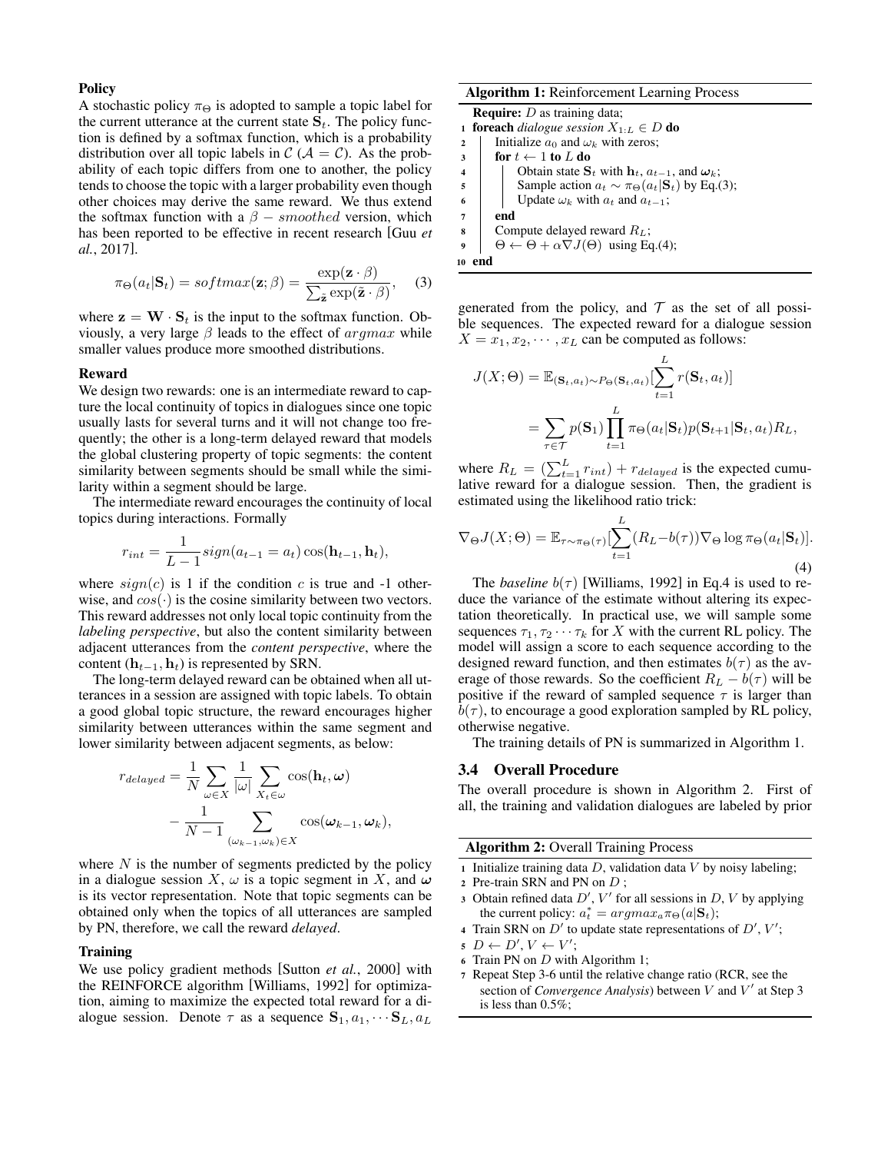#### **Policy**

A stochastic policy  $\pi_{\Theta}$  is adopted to sample a topic label for the current utterance at the current state  $S_t$ . The policy function is defined by a softmax function, which is a probability distribution over all topic labels in  $\mathcal{C}(\mathcal{A} = \mathcal{C})$ . As the probability of each topic differs from one to another, the policy tends to choose the topic with a larger probability even though other choices may derive the same reward. We thus extend the softmax function with a  $\beta$  – smoothed version, which has been reported to be effective in recent research [Guu *et al.*, 2017].

$$
\pi_{\Theta}(a_t | \mathbf{S}_t) = softmax(\mathbf{z}; \beta) = \frac{\exp(\mathbf{z} \cdot \beta)}{\sum_{\tilde{\mathbf{z}}} \exp(\tilde{\mathbf{z}} \cdot \beta)}, \quad (3)
$$

where  $z = W \cdot S_t$  is the input to the softmax function. Obviously, a very large  $\beta$  leads to the effect of  $argmax$  while smaller values produce more smoothed distributions.

#### Reward

We design two rewards: one is an intermediate reward to capture the local continuity of topics in dialogues since one topic usually lasts for several turns and it will not change too frequently; the other is a long-term delayed reward that models the global clustering property of topic segments: the content similarity between segments should be small while the similarity within a segment should be large.

The intermediate reward encourages the continuity of local topics during interactions. Formally

$$
r_{int} = \frac{1}{L-1} sign(a_{t-1} = a_t) \cos(\mathbf{h}_{t-1}, \mathbf{h}_t),
$$

where  $sign(c)$  is 1 if the condition c is true and -1 otherwise, and  $cos(\cdot)$  is the cosine similarity between two vectors. This reward addresses not only local topic continuity from the *labeling perspective*, but also the content similarity between adjacent utterances from the *content perspective*, where the content ( $\mathbf{h}_{t-1}, \mathbf{h}_t$ ) is represented by SRN.

The long-term delayed reward can be obtained when all utterances in a session are assigned with topic labels. To obtain a good global topic structure, the reward encourages higher similarity between utterances within the same segment and lower similarity between adjacent segments, as below:

$$
r_{delayed} = \frac{1}{N} \sum_{\omega \in X} \frac{1}{|\omega|} \sum_{X_t \in \omega} \cos(\mathbf{h}_t, \omega)
$$

$$
- \frac{1}{N - 1} \sum_{(\omega_{k-1}, \omega_k) \in X} \cos(\omega_{k-1}, \omega_k),
$$

where  $N$  is the number of segments predicted by the policy in a dialogue session X,  $\omega$  is a topic segment in X, and  $\omega$ is its vector representation. Note that topic segments can be obtained only when the topics of all utterances are sampled by PN, therefore, we call the reward *delayed*.

#### **Training**

We use policy gradient methods [Sutton *et al.*, 2000] with the REINFORCE algorithm [Williams, 1992] for optimization, aiming to maximize the expected total reward for a dialogue session. Denote  $\tau$  as a sequence  $S_1, a_1, \cdots S_L, a_L$ 

Algorithm 1: Reinforcement Learning Process **Require:**  $D$  as training data; 1 **foreach** *dialogue session*  $X_{1:L} \in D$  **do** 

2 | Initialize  $a_0$  and  $\omega_k$  with zeros;  $3 \quad \text{for } t \leftarrow 1 \text{ to } L \text{ do}$ 4 Cbtain state  $S_t$  with  $h_t$ ,  $a_{t-1}$ , and  $\omega_k$ ; 5 Sample action  $a_t \sim \pi_{\Theta}(a_t|\mathbf{S}_t)$  by Eq.(3); 6 Update  $\omega_k$  with  $a_t$  and  $a_{t-1}$ ;  $7$  end 8 Compute delayed reward  $R_L$ ;  $\Theta \leftarrow \Theta + \alpha \nabla J(\Theta)$  using Eq.(4); <sup>10</sup> end

generated from the policy, and  $T$  as the set of all possible sequences. The expected reward for a dialogue session  $X = x_1, x_2, \dots, x_L$  can be computed as follows:

$$
J(X; \Theta) = \mathbb{E}_{(\mathbf{S}_t, a_t) \sim P_{\Theta}(\mathbf{S}_t, a_t)} \left[ \sum_{t=1}^L r(\mathbf{S}_t, a_t) \right]
$$
  
= 
$$
\sum_{\tau \in \mathcal{T}} p(\mathbf{S}_1) \prod_{t=1}^L \pi_{\Theta}(a_t | \mathbf{S}_t) p(\mathbf{S}_{t+1} | \mathbf{S}_t, a_t) R_L,
$$

where  $R_L = (\sum_{t=1}^{L} r_{int}) + r_{delayed}$  is the expected cumulative reward for a dialogue session. Then, the gradient is estimated using the likelihood ratio trick:

$$
\nabla_{\Theta} J(X; \Theta) = \mathbb{E}_{\tau \sim \pi_{\Theta}(\tau)} \left[ \sum_{t=1}^{L} (R_L - b(\tau)) \nabla_{\Theta} \log \pi_{\Theta}(a_t | \mathbf{S}_t) \right].
$$
\n(4)

The *baseline*  $b(\tau)$  [Williams, 1992] in Eq.4 is used to reduce the variance of the estimate without altering its expectation theoretically. In practical use, we will sample some sequences  $\tau_1, \tau_2 \cdots \tau_k$  for X with the current RL policy. The model will assign a score to each sequence according to the designed reward function, and then estimates  $b(\tau)$  as the average of those rewards. So the coefficient  $R_L - b(\tau)$  will be positive if the reward of sampled sequence  $\tau$  is larger than  $b(\tau)$ , to encourage a good exploration sampled by RL policy, otherwise negative.

The training details of PN is summarized in Algorithm 1.

#### 3.4 Overall Procedure

The overall procedure is shown in Algorithm 2. First of all, the training and validation dialogues are labeled by prior

#### Algorithm 2: Overall Training Process

1 Initialize training data  $D$ , validation data  $V$  by noisy labeling; <sup>2</sup> Pre-train SRN and PN on D ;

- 
- 3 Obtain refined data  $D'$ ,  $V'$  for all sessions in  $D$ ,  $V$  by applying the current policy:  $a_t^* = argmax_a \pi_{\Theta}(a|\mathbf{S}_t);$
- 4 Train SRN on  $D'$  to update state representations of  $D', V';$
- $D \leftarrow D', V \leftarrow V';$
- <sup>6</sup> Train PN on D with Algorithm 1;
- <sup>7</sup> Repeat Step 3-6 until the relative change ratio (RCR, see the section of *Convergence Analysis*) between  $V$  and  $V'$  at Step 3 is less than 0.5%;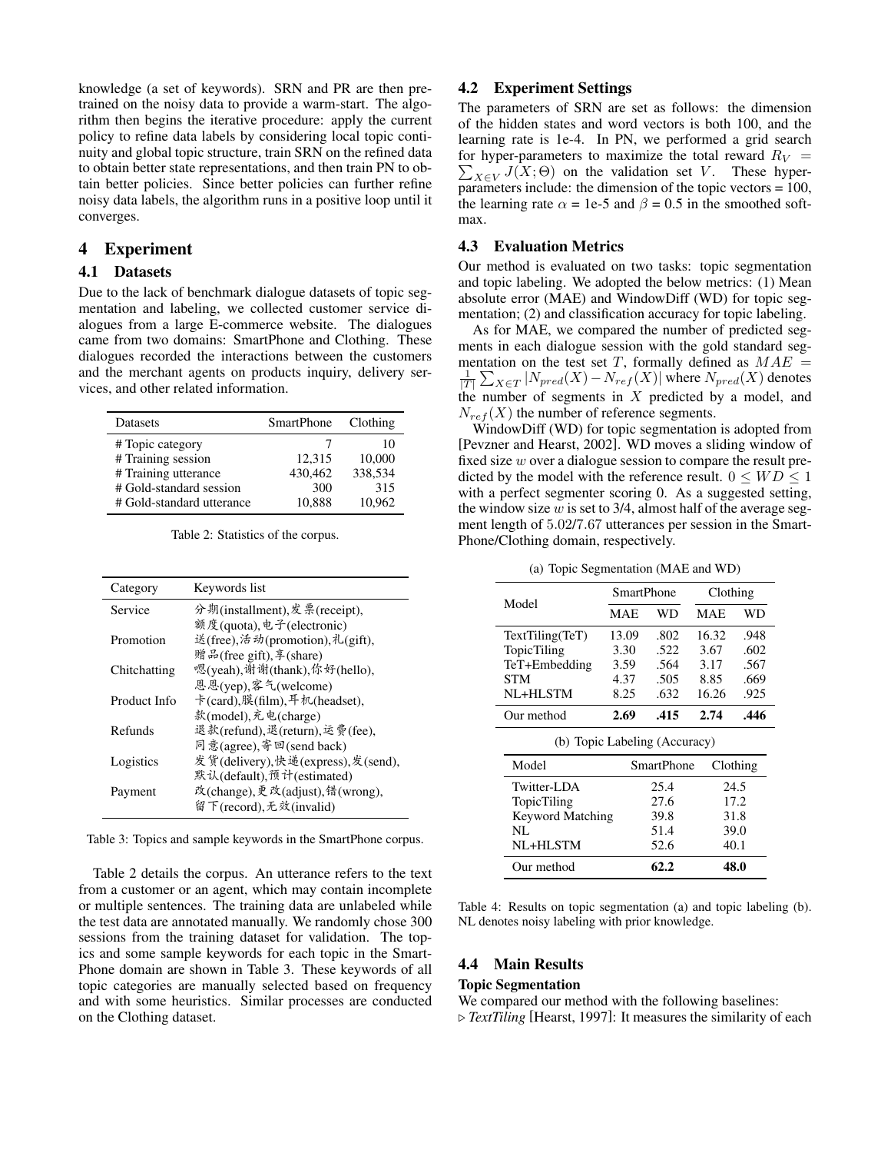knowledge (a set of keywords). SRN and PR are then pretrained on the noisy data to provide a warm-start. The algorithm then begins the iterative procedure: apply the current policy to refine data labels by considering local topic continuity and global topic structure, train SRN on the refined data to obtain better state representations, and then train PN to obtain better policies. Since better policies can further refine noisy data labels, the algorithm runs in a positive loop until it converges.

# 4 Experiment

# 4.1 Datasets

Due to the lack of benchmark dialogue datasets of topic segmentation and labeling, we collected customer service dialogues from a large E-commerce website. The dialogues came from two domains: SmartPhone and Clothing. These dialogues recorded the interactions between the customers and the merchant agents on products inquiry, delivery services, and other related information.

| Datasets                                                                                                               | <b>SmartPhone</b>                  | Clothing                                 |
|------------------------------------------------------------------------------------------------------------------------|------------------------------------|------------------------------------------|
| # Topic category<br># Training session<br># Training utterance<br># Gold-standard session<br># Gold-standard utterance | 12.315<br>430.462<br>300<br>10.888 | 10<br>10,000<br>338.534<br>315<br>10.962 |

Table 2: Statistics of the corpus.

| Category     | Keywords list                     |
|--------------|-----------------------------------|
| Service      | 分期(installment), 发票(receipt),     |
|              | 额度(quota), 电子(electronic)         |
| Promotion    | 送(free), 活动(promotion), 礼(gift),  |
|              | 赠品(free gift), 享(share)           |
| Chitchatting | 嗯(yeah),谢谢(thank),你好(hello),      |
|              | 恩恩(yep),客气(welcome)               |
| Product Info | 卡(card),膜(film),耳机(headset),      |
|              | 款(model), 充电(charge)              |
| Refunds      | 退款(refund),退(return),运费(fee),     |
|              | 同意(agree), 寄回(send back)          |
| Logistics    | 发货(delivery),快递(express),发(send), |
|              | 默认(default),预计(estimated)         |
| Payment      | 改(change),更改(adjust),错(wrong),    |
|              | 留下(record), 无效(invalid)           |

Table 3: Topics and sample keywords in the SmartPhone corpus.

Table 2 details the corpus. An utterance refers to the text from a customer or an agent, which may contain incomplete or multiple sentences. The training data are unlabeled while the test data are annotated manually. We randomly chose 300 sessions from the training dataset for validation. The topics and some sample keywords for each topic in the Smart-Phone domain are shown in Table 3. These keywords of all topic categories are manually selected based on frequency and with some heuristics. Similar processes are conducted on the Clothing dataset.

# 4.2 Experiment Settings

The parameters of SRN are set as follows: the dimension of the hidden states and word vectors is both 100, and the learning rate is 1e-4. In PN, we performed a grid search for hyper-parameters to maximize the total reward  $R_V =$  $\sum_{X \in V} J(X; \Theta)$  on the validation set V. These hyperparameters include: the dimension of the topic vectors = 100, the learning rate  $\alpha = 1e-5$  and  $\beta = 0.5$  in the smoothed softmax.

### 4.3 Evaluation Metrics

Our method is evaluated on two tasks: topic segmentation and topic labeling. We adopted the below metrics: (1) Mean absolute error (MAE) and WindowDiff (WD) for topic segmentation; (2) and classification accuracy for topic labeling.

As for MAE, we compared the number of predicted segments in each dialogue session with the gold standard segmentation on the test set T, formally defined as  $MAE =$  $\frac{1}{|T|} \sum_{X \in T} |N_{pred}(X) - N_{ref}(X)|$  where  $N_{pred}(X)$  denotes the number of segments in  $X$  predicted by a model, and  $N_{ref}(X)$  the number of reference segments.

WindowDiff (WD) for topic segmentation is adopted from [Pevzner and Hearst, 2002]. WD moves a sliding window of fixed size  $w$  over a dialogue session to compare the result predicted by the model with the reference result.  $0 \leq WD \leq 1$ with a perfect segmenter scoring 0. As a suggested setting, the window size  $w$  is set to 3/4, almost half of the average segment length of 5.02/7.67 utterances per session in the Smart-Phone/Clothing domain, respectively.

(a) Topic Segmentation (MAE and WD)

|                               | SmartPhone |                   |                                                       | Clothing |  |  |
|-------------------------------|------------|-------------------|-------------------------------------------------------|----------|--|--|
| Model                         | MAE        | WD                | MAE<br>16.32<br>3.67<br>3.17<br>8.85<br>16.26<br>2.74 | WD       |  |  |
| TextTiling(TeT)               | 13.09      | .802              |                                                       | .948     |  |  |
| TopicTiling                   | 3.30       | .522              |                                                       | .602     |  |  |
| TeT+Embedding                 | 3.59       | .564              |                                                       | .567     |  |  |
| <b>STM</b>                    | 4.37       | .505              |                                                       | .669     |  |  |
| NL+HLSTM                      | 8.25       | .632              |                                                       | .925     |  |  |
| Our method                    | 2.69       | .415              |                                                       | .446     |  |  |
| (b) Topic Labeling (Accuracy) |            |                   |                                                       |          |  |  |
| Model                         |            | <b>SmartPhone</b> |                                                       | Clothing |  |  |
| Twitter-LDA                   |            | 25.4              |                                                       | 24.5     |  |  |
| <b>TopicTiling</b>            |            | 27.6              |                                                       | 17.2     |  |  |
| <b>Keyword Matching</b>       |            | 39.8              |                                                       | 31.8     |  |  |
| NП                            |            | 51 <sub>1</sub>   |                                                       | 20 V     |  |  |

|                           | NL<br>NL+HLSTM   | 51.4<br>52.6                                                                                                                                                                                                                     | 39.0<br>40.1<br>48.0 |  |  |
|---------------------------|------------------|----------------------------------------------------------------------------------------------------------------------------------------------------------------------------------------------------------------------------------|----------------------|--|--|
|                           | Our method       | 62.2                                                                                                                                                                                                                             |                      |  |  |
| $\mathbf{r}$ $\mathbf{r}$ | $\sqrt{2}$<br>п. | $\cdots$ . The contract of the contract of the contract of the contract of the contract of the contract of the contract of the contract of the contract of the contract of the contract of the contract of the contract of the c | .                    |  |  |

Table 4: Results on topic segmentation (a) and topic labeling (b). NL denotes noisy labeling with prior knowledge.

# 4.4 Main Results

### Topic Segmentation

We compared our method with the following baselines:

 $\triangleright$  *TextTiling* [Hearst, 1997]: It measures the similarity of each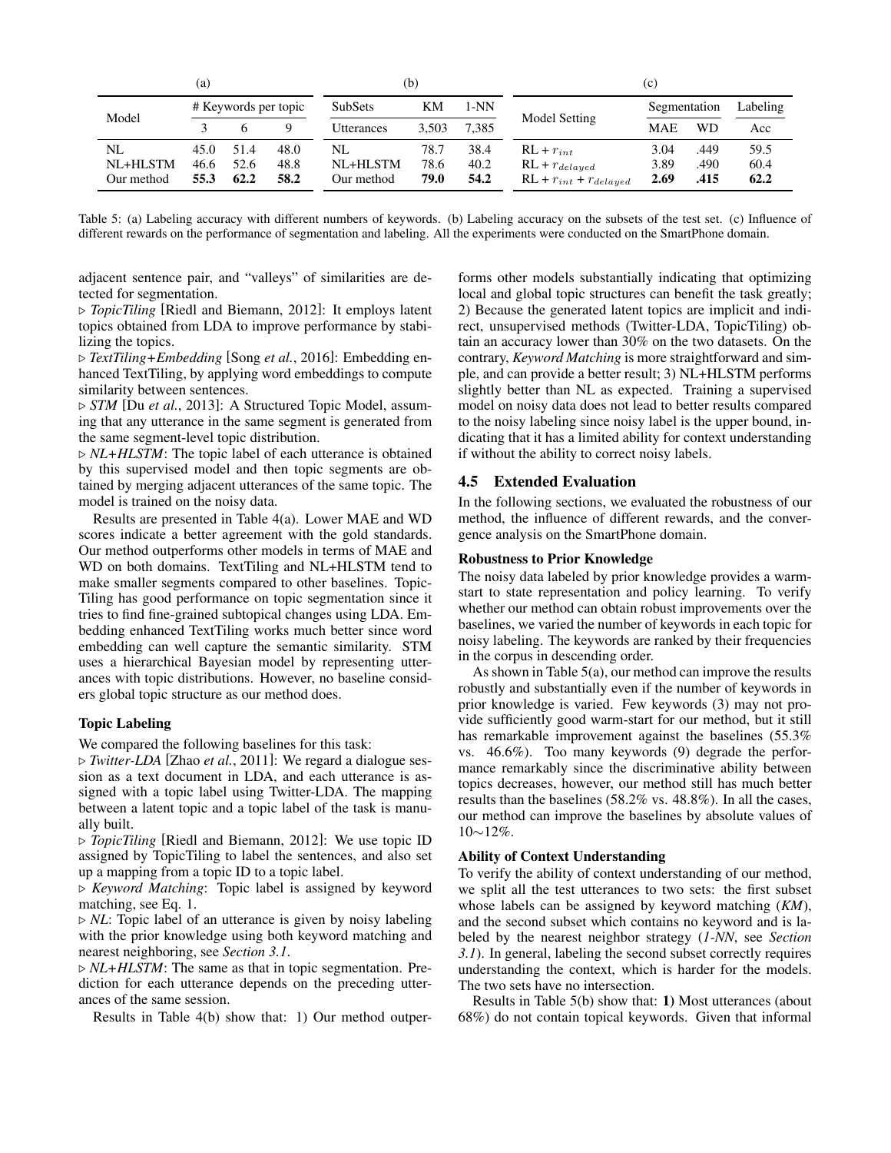| (a)        |                      |      |      | (b)            |       |       | (c)                          |              |      |          |
|------------|----------------------|------|------|----------------|-------|-------|------------------------------|--------------|------|----------|
| Model      | # Keywords per topic |      |      | <b>SubSets</b> | KМ    | 1-NN  |                              | Segmentation |      | Labeling |
|            |                      |      | Q    | Utterances     | 3.503 | 7.385 | Model Setting                | <b>MAE</b>   | WD   | Acc      |
| NL         | 45.0                 | 51.4 | 48.0 | NL             | 78.7  | 38.4  | $RL + r_{int}$               | 3.04         | .449 | 59.5     |
| $NL+HLSTM$ | 46.6                 | 52.6 | 48.8 | NL+HLSTM       | 78.6  | 40.2  | $RL + r_{delayed}$           | 3.89         | .490 | 60.4     |
| Our method | 55.3                 | 62.2 | 58.2 | Our method     | 79.0  | 54.2  | $RL + r_{int} + r_{delayed}$ | 2.69         | .415 | 62.2     |

Table 5: (a) Labeling accuracy with different numbers of keywords. (b) Labeling accuracy on the subsets of the test set. (c) Influence of different rewards on the performance of segmentation and labeling. All the experiments were conducted on the SmartPhone domain.

adjacent sentence pair, and "valleys" of similarities are detected for segmentation.

. *TopicTiling* [Riedl and Biemann, 2012]: It employs latent topics obtained from LDA to improve performance by stabilizing the topics.

. *TextTiling+Embedding* [Song *et al.*, 2016]: Embedding enhanced TextTiling, by applying word embeddings to compute similarity between sentences.

. *STM* [Du *et al.*, 2013]: A Structured Topic Model, assuming that any utterance in the same segment is generated from the same segment-level topic distribution.

 $\triangleright$  *NL+HLSTM*: The topic label of each utterance is obtained by this supervised model and then topic segments are obtained by merging adjacent utterances of the same topic. The model is trained on the noisy data.

Results are presented in Table 4(a). Lower MAE and WD scores indicate a better agreement with the gold standards. Our method outperforms other models in terms of MAE and WD on both domains. TextTiling and NL+HLSTM tend to make smaller segments compared to other baselines. Topic-Tiling has good performance on topic segmentation since it tries to find fine-grained subtopical changes using LDA. Embedding enhanced TextTiling works much better since word embedding can well capture the semantic similarity. STM uses a hierarchical Bayesian model by representing utterances with topic distributions. However, no baseline considers global topic structure as our method does.

### Topic Labeling

We compared the following baselines for this task:

. *Twitter-LDA* [Zhao *et al.*, 2011]: We regard a dialogue session as a text document in LDA, and each utterance is assigned with a topic label using Twitter-LDA. The mapping between a latent topic and a topic label of the task is manually built.

. *TopicTiling* [Riedl and Biemann, 2012]: We use topic ID assigned by TopicTiling to label the sentences, and also set up a mapping from a topic ID to a topic label.

. *Keyword Matching*: Topic label is assigned by keyword matching, see Eq. 1.

 $\triangleright$  *NL*: Topic label of an utterance is given by noisy labeling with the prior knowledge using both keyword matching and nearest neighboring, see *Section 3.1*.

 $\triangleright$  *NL+HLSTM*: The same as that in topic segmentation. Prediction for each utterance depends on the preceding utterances of the same session.

Results in Table 4(b) show that: 1) Our method outper-

forms other models substantially indicating that optimizing local and global topic structures can benefit the task greatly; 2) Because the generated latent topics are implicit and indirect, unsupervised methods (Twitter-LDA, TopicTiling) obtain an accuracy lower than 30% on the two datasets. On the contrary, *Keyword Matching* is more straightforward and simple, and can provide a better result; 3) NL+HLSTM performs slightly better than NL as expected. Training a supervised model on noisy data does not lead to better results compared to the noisy labeling since noisy label is the upper bound, indicating that it has a limited ability for context understanding if without the ability to correct noisy labels.

### 4.5 Extended Evaluation

In the following sections, we evaluated the robustness of our method, the influence of different rewards, and the convergence analysis on the SmartPhone domain.

### Robustness to Prior Knowledge

The noisy data labeled by prior knowledge provides a warmstart to state representation and policy learning. To verify whether our method can obtain robust improvements over the baselines, we varied the number of keywords in each topic for noisy labeling. The keywords are ranked by their frequencies in the corpus in descending order.

As shown in Table 5(a), our method can improve the results robustly and substantially even if the number of keywords in prior knowledge is varied. Few keywords (3) may not provide sufficiently good warm-start for our method, but it still has remarkable improvement against the baselines (55.3% vs. 46.6%). Too many keywords (9) degrade the performance remarkably since the discriminative ability between topics decreases, however, our method still has much better results than the baselines (58.2% vs. 48.8%). In all the cases, our method can improve the baselines by absolute values of 10∼12%.

### Ability of Context Understanding

To verify the ability of context understanding of our method, we split all the test utterances to two sets: the first subset whose labels can be assigned by keyword matching (*KM*), and the second subset which contains no keyword and is labeled by the nearest neighbor strategy (*1-NN*, see *Section 3.1*). In general, labeling the second subset correctly requires understanding the context, which is harder for the models. The two sets have no intersection.

Results in Table 5(b) show that: 1) Most utterances (about 68%) do not contain topical keywords. Given that informal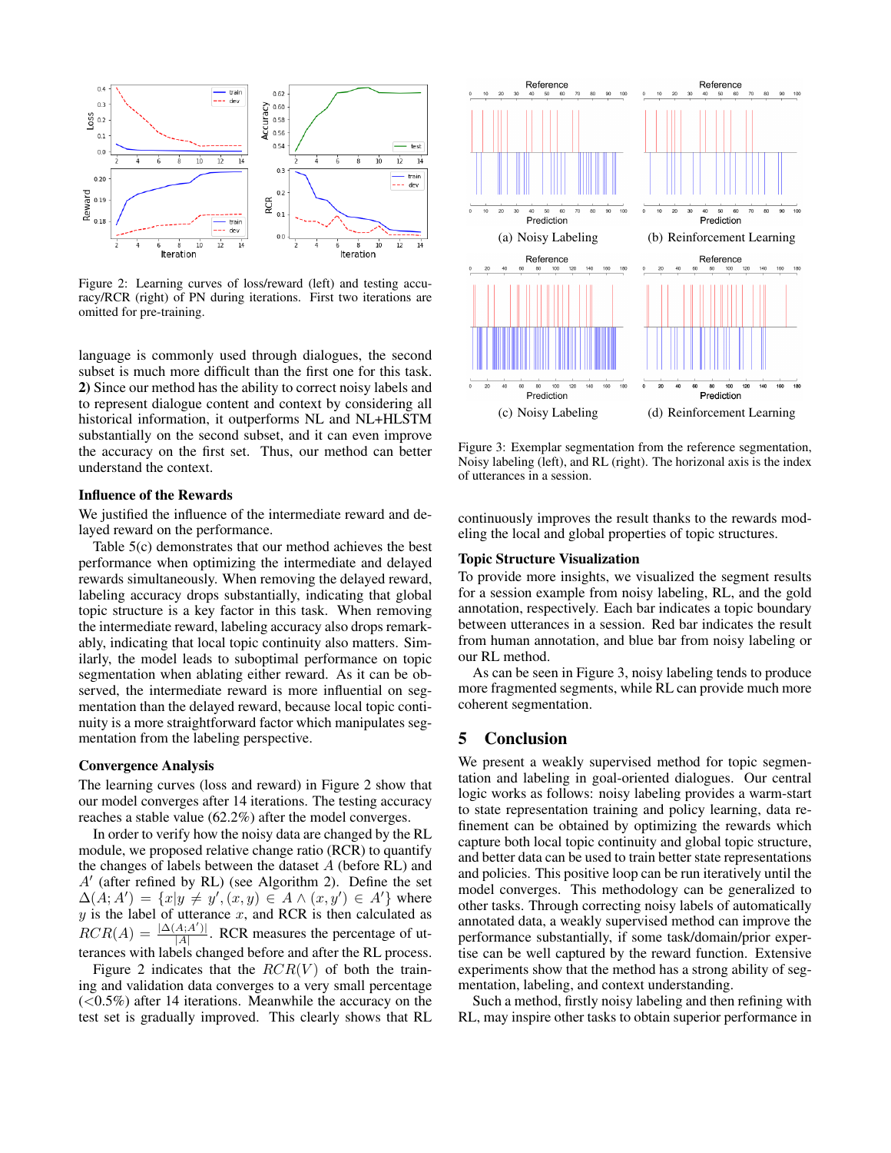

Figure 2: Learning curves of loss/reward (left) and testing accuracy/RCR (right) of PN during iterations. First two iterations are omitted for pre-training.

language is commonly used through dialogues, the second subset is much more difficult than the first one for this task. 2) Since our method has the ability to correct noisy labels and to represent dialogue content and context by considering all historical information, it outperforms NL and NL+HLSTM substantially on the second subset, and it can even improve the accuracy on the first set. Thus, our method can better understand the context.

### Influence of the Rewards

We justified the influence of the intermediate reward and delayed reward on the performance.

Table 5(c) demonstrates that our method achieves the best performance when optimizing the intermediate and delayed rewards simultaneously. When removing the delayed reward, labeling accuracy drops substantially, indicating that global topic structure is a key factor in this task. When removing the intermediate reward, labeling accuracy also drops remarkably, indicating that local topic continuity also matters. Similarly, the model leads to suboptimal performance on topic segmentation when ablating either reward. As it can be observed, the intermediate reward is more influential on segmentation than the delayed reward, because local topic continuity is a more straightforward factor which manipulates segmentation from the labeling perspective.

### Convergence Analysis

The learning curves (loss and reward) in Figure 2 show that our model converges after 14 iterations. The testing accuracy reaches a stable value (62.2%) after the model converges.

In order to verify how the noisy data are changed by the RL module, we proposed relative change ratio (RCR) to quantify the changes of labels between the dataset  $A$  (before RL) and  $A'$  (after refined by RL) (see Algorithm 2). Define the set  $\Delta(A;A') = \{x|y \neq y', (x,y) \in A \wedge (x,y') \in A'\}$  where  $y$  is the label of utterance  $x$ , and RCR is then calculated as  $RCR(A) = \frac{|\Delta(A; A')|}{|A|}$ . RCR measures the percentage of ut- $|A|$ terances with labels changed before and after the RL process.

Figure 2 indicates that the  $RCR(V)$  of both the training and validation data converges to a very small percentage  $(<0.5\%)$  after 14 iterations. Meanwhile the accuracy on the test set is gradually improved. This clearly shows that RL



Figure 3: Exemplar segmentation from the reference segmentation, Noisy labeling (left), and RL (right). The horizonal axis is the index of utterances in a session.

continuously improves the result thanks to the rewards modeling the local and global properties of topic structures.

### Topic Structure Visualization

To provide more insights, we visualized the segment results for a session example from noisy labeling, RL, and the gold annotation, respectively. Each bar indicates a topic boundary between utterances in a session. Red bar indicates the result from human annotation, and blue bar from noisy labeling or our RL method.

As can be seen in Figure 3, noisy labeling tends to produce more fragmented segments, while RL can provide much more coherent segmentation.

### 5 Conclusion

We present a weakly supervised method for topic segmentation and labeling in goal-oriented dialogues. Our central logic works as follows: noisy labeling provides a warm-start to state representation training and policy learning, data refinement can be obtained by optimizing the rewards which capture both local topic continuity and global topic structure, and better data can be used to train better state representations and policies. This positive loop can be run iteratively until the model converges. This methodology can be generalized to other tasks. Through correcting noisy labels of automatically annotated data, a weakly supervised method can improve the performance substantially, if some task/domain/prior expertise can be well captured by the reward function. Extensive experiments show that the method has a strong ability of segmentation, labeling, and context understanding.

Such a method, firstly noisy labeling and then refining with RL, may inspire other tasks to obtain superior performance in